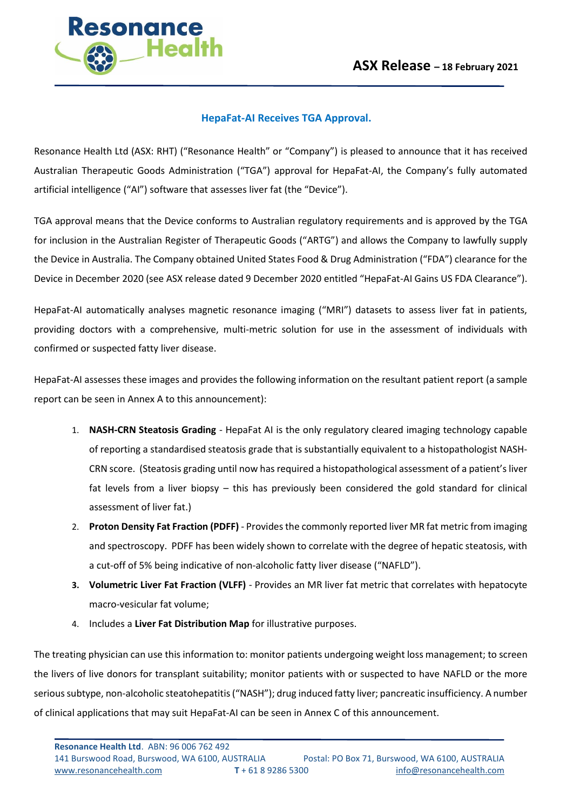

## **HepaFat-AI Receives TGA Approval.**

Resonance Health Ltd (ASX: RHT) ("Resonance Health" or "Company") is pleased to announce that it has received Australian Therapeutic Goods Administration ("TGA") approval for HepaFat-AI, the Company's fully automated artificial intelligence ("AI") software that assesses liver fat (the "Device").

TGA approval means that the Device conforms to Australian regulatory requirements and is approved by the TGA for inclusion in the Australian Register of Therapeutic Goods ("ARTG") and allows the Company to lawfully supply the Device in Australia. The Company obtained United States Food & Drug Administration ("FDA") clearance for the Device in December 2020 (see ASX release dated 9 December 2020 entitled "HepaFat-AI Gains US FDA Clearance").

HepaFat-AI automatically analyses magnetic resonance imaging ("MRI") datasets to assess liver fat in patients, providing doctors with a comprehensive, multi-metric solution for use in the assessment of individuals with confirmed or suspected fatty liver disease.

HepaFat-AI assesses these images and provides the following information on the resultant patient report (a sample report can be seen in Annex A to this announcement):

- 1. **NASH-CRN Steatosis Grading** HepaFat AI is the only regulatory cleared imaging technology capable of reporting a standardised steatosis grade that is substantially equivalent to a histopathologist NASH-CRN score. (Steatosis grading until now has required a histopathological assessment of a patient's liver fat levels from a liver biopsy – this has previously been considered the gold standard for clinical assessment of liver fat.)
- 2. **Proton Density Fat Fraction (PDFF)** Provides the commonly reported liver MR fat metric from imaging and spectroscopy. PDFF has been widely shown to correlate with the degree of hepatic steatosis, with a cut-off of 5% being indicative of non-alcoholic fatty liver disease ("NAFLD").
- **3. Volumetric Liver Fat Fraction (VLFF)**  Provides an MR liver fat metric that correlates with hepatocyte macro-vesicular fat volume;
- 4. Includes a **Liver Fat Distribution Map** for illustrative purposes.

The treating physician can use this information to: monitor patients undergoing weight loss management; to screen the livers of live donors for transplant suitability; monitor patients with or suspected to have NAFLD or the more serious subtype, non-alcoholic steatohepatitis ("NASH"); drug induced fatty liver; pancreatic insufficiency. A number of clinical applications that may suit HepaFat-AI can be seen in Annex C of this announcement.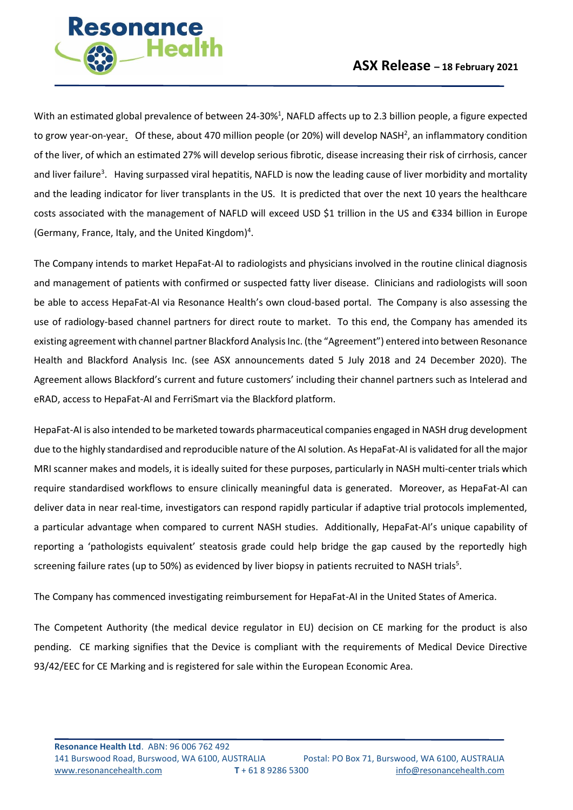

With an estimated global prevalence of between 24-30%<sup>1</sup>, NAFLD affects up to 2.3 billion people, a figure expected to grow year-on-year. Of these, about 470 million people (or 20%) will develop NASH<sup>2</sup>, an inflammatory condition of the liver, of which an estimated 27% will develop serious fibrotic, disease increasing their risk of cirrhosis, cancer and liver failure<sup>3</sup>. Having surpassed viral hepatitis, NAFLD is now the leading cause of liver morbidity and mortality and the leading indicator for liver transplants in the US. It is predicted that over the next 10 years the healthcare costs associated with the management of NAFLD will exceed USD \$1 trillion in the US and €334 billion in Europe (Germany, France, Italy, and the United Kingdom)<sup>4</sup>.

The Company intends to market HepaFat-AI to radiologists and physicians involved in the routine clinical diagnosis and management of patients with confirmed or suspected fatty liver disease. Clinicians and radiologists will soon be able to access HepaFat-AI via Resonance Health's own cloud-based portal. The Company is also assessing the use of radiology-based channel partners for direct route to market. To this end, the Company has amended its existing agreement with channel partner Blackford Analysis Inc. (the "Agreement") entered into between Resonance Health and Blackford Analysis Inc. (see ASX announcements dated 5 July 2018 and 24 December 2020). The Agreement allows Blackford's current and future customers' including their channel partners such as Intelerad and eRAD, access to HepaFat-AI and FerriSmart via the Blackford platform.

HepaFat-AI is also intended to be marketed towards pharmaceutical companies engaged in NASH drug development due to the highly standardised and reproducible nature of the AI solution. As HepaFat-AI is validated for all the major MRI scanner makes and models, it is ideally suited for these purposes, particularly in NASH multi-center trials which require standardised workflows to ensure clinically meaningful data is generated. Moreover, as HepaFat-AI can deliver data in near real-time, investigators can respond rapidly particular if adaptive trial protocols implemented, a particular advantage when compared to current NASH studies. Additionally, HepaFat-AI's unique capability of reporting a 'pathologists equivalent' steatosis grade could help bridge the gap caused by the reportedly high screening failure rates (up to 50%) as evidenced by liver biopsy in patients recruited to NASH trials<sup>5</sup>.

The Company has commenced investigating reimbursement for HepaFat-AI in the United States of America.

The Competent Authority (the medical device regulator in EU) decision on CE marking for the product is also pending. CE marking signifies that the Device is compliant with the requirements of Medical Device Directive 93/42/EEC for CE Marking and is registered for sale within the European Economic Area.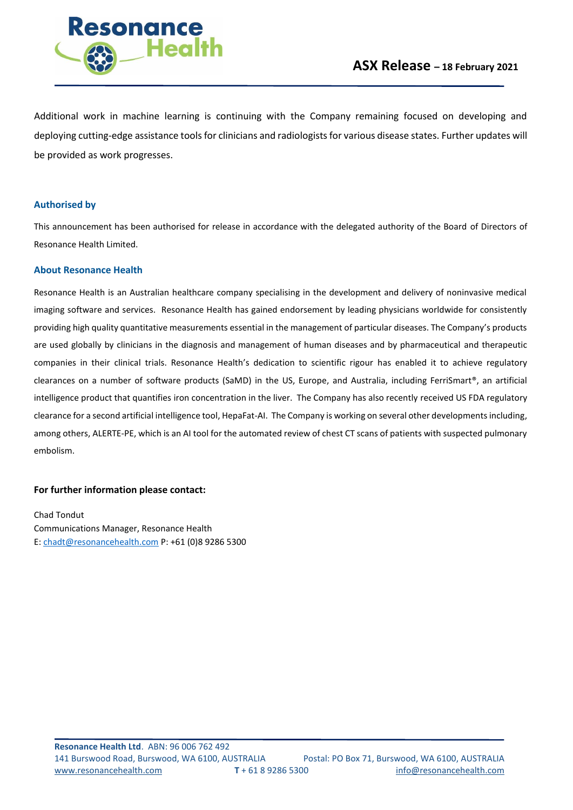

Additional work in machine learning is continuing with the Company remaining focused on developing and deploying cutting-edge assistance tools for clinicians and radiologists for various disease states. Further updates will be provided as work progresses.

#### **Authorised by**

This announcement has been authorised for release in accordance with the delegated authority of the Board of Directors of Resonance Health Limited.

#### **About Resonance Health**

Resonance Health is an Australian healthcare company specialising in the development and delivery of noninvasive medical imaging software and services. Resonance Health has gained endorsement by leading physicians worldwide for consistently providing high quality quantitative measurements essential in the management of particular diseases. The Company's products are used globally by clinicians in the diagnosis and management of human diseases and by pharmaceutical and therapeutic companies in their clinical trials. Resonance Health's dedication to scientific rigour has enabled it to achieve regulatory clearances on a number of software products (SaMD) in the US, Europe, and Australia, including FerriSmart®, an artificial intelligence product that quantifies iron concentration in the liver. The Company has also recently received US FDA regulatory clearance for a second artificial intelligence tool, HepaFat-AI. The Company is working on several other developments including, among others, ALERTE-PE, which is an AI tool for the automated review of chest CT scans of patients with suspected pulmonary embolism.

#### **For further information please contact:**

Chad Tondut Communications Manager, Resonance Health E: [chadt@resonancehealth.com](mailto:chadt@resonancehealth.com) P: +61 (0)8 9286 5300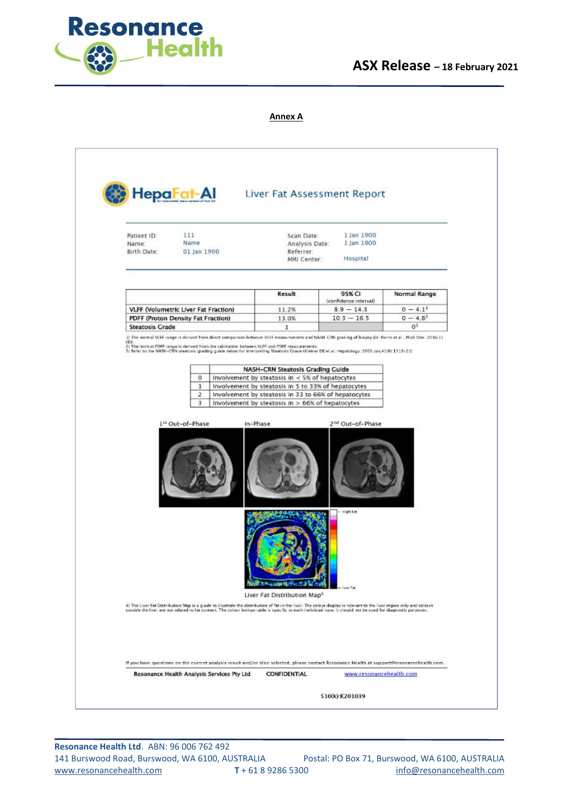

# **ASX Release – 18 February 2021**

#### **Annex A**



**Resonance Health Ltd**. ABN: 96 006 762 492 141 Burswood Road, Burswood, WA 6100, AUSTRALIA Postal: PO Box 71, Burswood, WA 6100, AUSTRALIA [www.resonancehealth.com](http://www.resonancehealth.com/) **T** + 61 8 9286 5300 [info@resonancehealth.com](mailto:info@resonancehealth.com)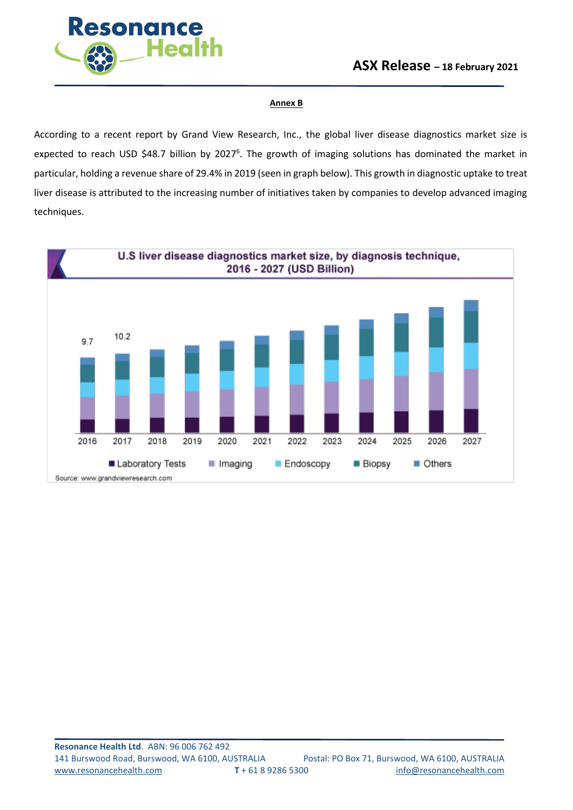

#### **Annex B**

According to a recent report by Grand View Research, Inc., the global liver disease diagnostics market size is expected to reach USD \$48.7 billion by 2027<sup>6</sup>. The growth of imaging solutions has dominated the market in particular, holding a revenue share of 29.4% in 2019 (seen in graph below). This growth in diagnostic uptake to treat liver disease is attributed to the increasing number of initiatives taken by companies to develop advanced imaging techniques.

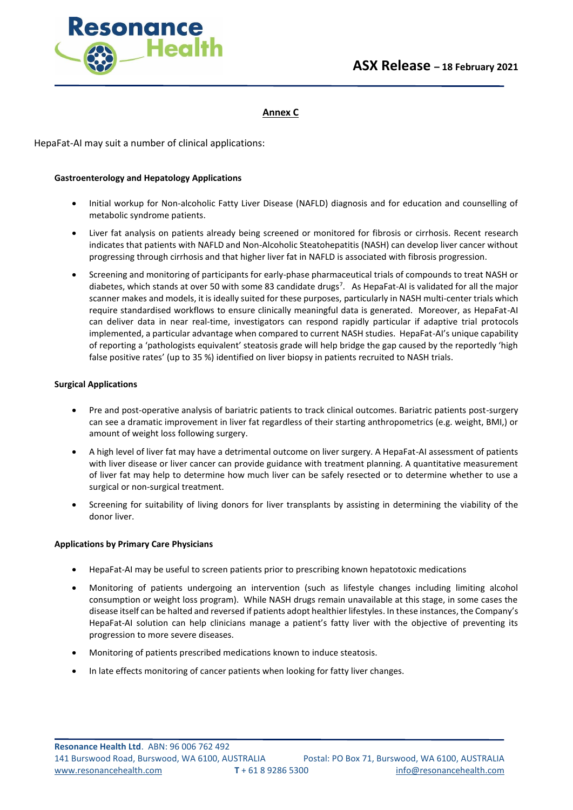

### **Annex C**

HepaFat-AI may suit a number of clinical applications:

#### **Gastroenterology and Hepatology Applications**

- Initial workup for Non-alcoholic Fatty Liver Disease (NAFLD) diagnosis and for education and counselling of metabolic syndrome patients.
- Liver fat analysis on patients already being screened or monitored for fibrosis or cirrhosis. Recent research indicates that patients with NAFLD and Non-Alcoholic Steatohepatitis (NASH) can develop liver cancer without progressing through cirrhosis and that higher liver fat in NAFLD is associated with fibrosis progression.
- Screening and monitoring of participants for early-phase pharmaceutical trials of compounds to treat NASH or diabetes, which stands at over 50 with some 83 candidate drugs<sup>7</sup>. As HepaFat-AI is validated for all the major scanner makes and models, it is ideally suited for these purposes, particularly in NASH multi-center trials which require standardised workflows to ensure clinically meaningful data is generated. Moreover, as HepaFat-AI can deliver data in near real-time, investigators can respond rapidly particular if adaptive trial protocols implemented, a particular advantage when compared to current NASH studies. HepaFat-AI's unique capability of reporting a 'pathologists equivalent' steatosis grade will help bridge the gap caused by the reportedly 'high false positive rates' (up to 35 %) identified on liver biopsy in patients recruited to NASH trials.

#### **Surgical Applications**

- Pre and post-operative analysis of bariatric patients to track clinical outcomes. Bariatric patients post-surgery can see a dramatic improvement in liver fat regardless of their starting anthropometrics (e.g. weight, BMI,) or amount of weight loss following surgery.
- A high level of liver fat may have a detrimental outcome on liver surgery. A HepaFat-AI assessment of patients with liver disease or liver cancer can provide guidance with treatment planning. A quantitative measurement of liver fat may help to determine how much liver can be safely resected or to determine whether to use a surgical or non-surgical treatment.
- Screening for suitability of living donors for liver transplants by assisting in determining the viability of the donor liver.

### **Applications by Primary Care Physicians**

- HepaFat-AI may be useful to screen patients prior to prescribing known hepatotoxic medications
- Monitoring of patients undergoing an intervention (such as lifestyle changes including limiting alcohol consumption or weight loss program). While NASH drugs remain unavailable at this stage, in some cases the disease itself can be halted and reversed if patients adopt healthier lifestyles. In these instances, the Company's HepaFat-AI solution can help clinicians manage a patient's fatty liver with the objective of preventing its progression to more severe diseases.
- Monitoring of patients prescribed medications known to induce steatosis.
- In late effects monitoring of cancer patients when looking for fatty liver changes.